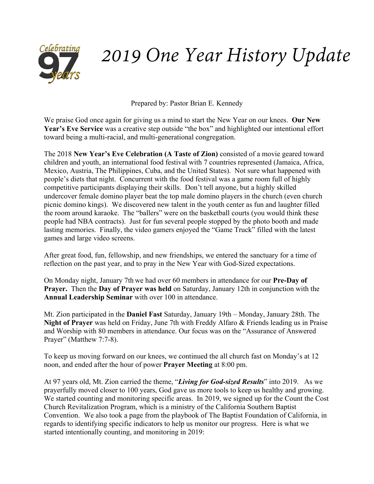

# *2019 One Year History Update*

Prepared by: Pastor Brian E. Kennedy

We praise God once again for giving us a mind to start the New Year on our knees. **Our New Year's Eve Service** was a creative step outside "the box" and highlighted our intentional effort toward being a multi-racial, and multi-generational congregation.

The 2018 **New Year's Eve Celebration (A Taste of Zion)** consisted of a movie geared toward children and youth, an international food festival with 7 countries represented (Jamaica, Africa, Mexico, Austria, The Philippines, Cuba, and the United States). Not sure what happened with people's diets that night. Concurrent with the food festival was a game room full of highly competitive participants displaying their skills. Don't tell anyone, but a highly skilled undercover female domino player beat the top male domino players in the church (even church picnic domino kings). We discovered new talent in the youth center as fun and laughter filled the room around karaoke. The "ballers" were on the basketball courts (you would think these people had NBA contracts). Just for fun several people stopped by the photo booth and made lasting memories. Finally, the video gamers enjoyed the "Game Truck" filled with the latest games and large video screens.

After great food, fun, fellowship, and new friendships, we entered the sanctuary for a time of reflection on the past year, and to pray in the New Year with God-Sized expectations.

On Monday night, January 7th we had over 60 members in attendance for our **Pre-Day of Prayer.** Then the **Day of Prayer was held** on Saturday, January 12th in conjunction with the **Annual Leadership Seminar** with over 100 in attendance.

Mt. Zion participated in the **Daniel Fast** Saturday, January 19th – Monday, January 28th. The **Night of Prayer** was held on Friday, June 7th with Freddy Alfaro & Friends leading us in Praise and Worship with 80 members in attendance. Our focus was on the "Assurance of Answered Prayer" (Matthew 7:7-8).

To keep us moving forward on our knees, we continued the all church fast on Monday's at 12 noon, and ended after the hour of power **Prayer Meeting** at 8:00 pm.

At 97 years old, Mt. Zion carried the theme, "*Living for God-sized Results*" into 2019. As we prayerfully moved closer to 100 years, God gave us more tools to keep us healthy and growing. We started counting and monitoring specific areas. In 2019, we signed up for the Count the Cost Church Revitalization Program, which is a ministry of the California Southern Baptist Convention. We also took a page from the playbook of The Baptist Foundation of California, in regards to identifying specific indicators to help us monitor our progress. Here is what we started intentionally counting, and monitoring in 2019: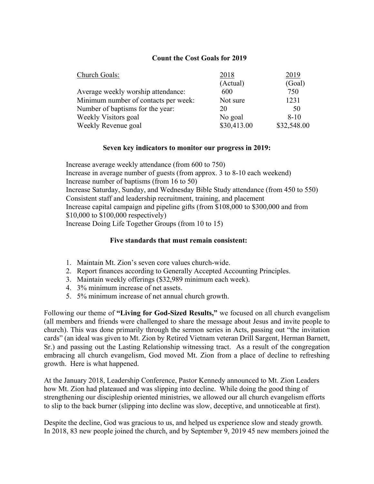### **Count the Cost Goals for 2019**

| Church Goals:                        | 2018        | 2019        |
|--------------------------------------|-------------|-------------|
|                                      | (Actual)    | (Goal)      |
| Average weekly worship attendance:   | 600         | 750         |
| Minimum number of contacts per week: | Not sure    | 1231        |
| Number of baptisms for the year:     | 20          | 50          |
| Weekly Visitors goal                 | No goal     | $8 - 10$    |
| Weekly Revenue goal                  | \$30,413.00 | \$32,548.00 |

#### **Seven key indicators to monitor our progress in 2019:**

Increase average weekly attendance (from 600 to 750) Increase in average number of guests (from approx. 3 to 8-10 each weekend) Increase number of baptisms (from 16 to 50) Increase Saturday, Sunday, and Wednesday Bible Study attendance (from 450 to 550) Consistent staff and leadership recruitment, training, and placement Increase capital campaign and pipeline gifts (from \$108,000 to \$300,000 and from \$10,000 to \$100,000 respectively) Increase Doing Life Together Groups (from 10 to 15)

#### **Five standards that must remain consistent:**

- 1. Maintain Mt. Zion's seven core values church-wide.
- 2. Report finances according to Generally Accepted Accounting Principles.
- 3. Maintain weekly offerings (\$32,989 minimum each week).
- 4. 3% minimum increase of net assets.
- 5. 5% minimum increase of net annual church growth.

Following our theme of **"Living for God-Sized Results,"** we focused on all church evangelism (all members and friends were challenged to share the message about Jesus and invite people to church). This was done primarily through the sermon series in Acts, passing out "the invitation cards" (an ideal was given to Mt. Zion by Retired Vietnam veteran Drill Sargent, Herman Barnett, Sr.) and passing out the Lasting Relationship witnessing tract. As a result of the congregation embracing all church evangelism, God moved Mt. Zion from a place of decline to refreshing growth. Here is what happened.

At the January 2018, Leadership Conference, Pastor Kennedy announced to Mt. Zion Leaders how Mt. Zion had plateaued and was slipping into decline. While doing the good thing of strengthening our discipleship oriented ministries, we allowed our all church evangelism efforts to slip to the back burner (slipping into decline was slow, deceptive, and unnoticeable at first).

Despite the decline, God was gracious to us, and helped us experience slow and steady growth. In 2018, 83 new people joined the church, and by September 9, 2019 45 new members joined the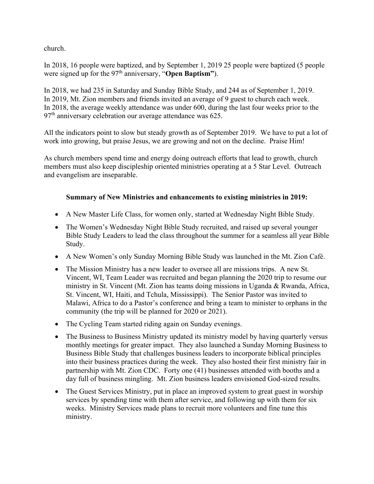church.

In 2018, 16 people were baptized, and by September 1, 2019 25 people were baptized (5 people were signed up for the 97<sup>th</sup> anniversary, "Open Baptism").

In 2018, we had 235 in Saturday and Sunday Bible Study, and 244 as of September 1, 2019. In 2019, Mt. Zion members and friends invited an average of 9 guest to church each week. In 2018, the average weekly attendance was under 600, during the last four weeks prior to the  $97<sup>th</sup>$  anniversary celebration our average attendance was 625.

All the indicators point to slow but steady growth as of September 2019. We have to put a lot of work into growing, but praise Jesus, we are growing and not on the decline. Praise Him!

As church members spend time and energy doing outreach efforts that lead to growth, church members must also keep discipleship oriented ministries operating at a 5 Star Level. Outreach and evangelism are inseparable.

# **Summary of New Ministries and enhancements to existing ministries in 2019:**

- A New Master Life Class, for women only, started at Wednesday Night Bible Study.
- The Women's Wednesday Night Bible Study recruited, and raised up several younger Bible Study Leaders to lead the class throughout the summer for a seamless all year Bible Study.
- A New Women's only Sunday Morning Bible Study was launched in the Mt. Zion Café.
- The Mission Ministry has a new leader to oversee all are missions trips. A new St. Vincent, WI, Team Leader was recruited and began planning the 2020 trip to resume our ministry in St. Vincent (Mt. Zion has teams doing missions in Uganda & Rwanda, Africa, St. Vincent, WI, Haiti, and Tchula, Mississippi). The Senior Pastor was invited to Malawi, Africa to do a Pastor's conference and bring a team to minister to orphans in the community (the trip will be planned for 2020 or 2021).
- The Cycling Team started riding again on Sunday evenings.
- The Business to Business Ministry updated its ministry model by having quarterly versus monthly meetings for greater impact. They also launched a Sunday Morning Business to Business Bible Study that challenges business leaders to incorporate biblical principles into their business practices during the week. They also hosted their first ministry fair in partnership with Mt. Zion CDC. Forty one (41) businesses attended with booths and a day full of business mingling. Mt. Zion business leaders envisioned God-sized results.
- The Guest Services Ministry, put in place an improved system to great guest in worship services by spending time with them after service, and following up with them for six weeks. Ministry Services made plans to recruit more volunteers and fine tune this ministry.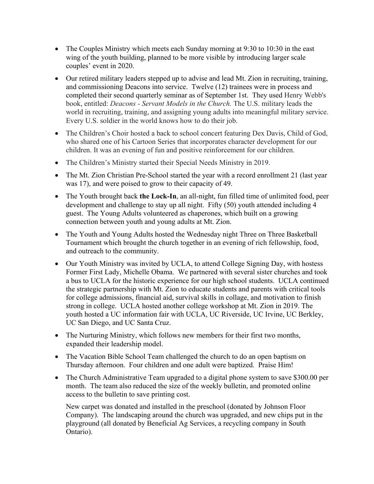- The Couples Ministry which meets each Sunday morning at 9:30 to 10:30 in the east wing of the youth building, planned to be more visible by introducing larger scale couples' event in 2020.
- Our retired military leaders stepped up to advise and lead Mt. Zion in recruiting, training, and commissioning Deacons into service. Twelve (12) trainees were in process and completed their second quarterly seminar as of September 1st. They used Henry Webb's book, entitled: *Deacons - Servant Models in the Church.* The U.S. military leads the world in recruiting, training, and assigning young adults into meaningful military service. Every U.S. soldier in the world knows how to do their job.
- The Children's Choir hosted a back to school concert featuring Dex Davis, Child of God, who shared one of his Cartoon Series that incorporates character development for our children. It was an evening of fun and positive reinforcement for our children.
- The Children's Ministry started their Special Needs Ministry in 2019.
- The Mt. Zion Christian Pre-School started the year with a record enrollment 21 (last year was 17), and were poised to grow to their capacity of 49.
- The Youth brought back **the Lock-In**, an all-night, fun filled time of unlimited food, peer development and challenge to stay up all night. Fifty (50) youth attended including 4 guest. The Young Adults volunteered as chaperones, which built on a growing connection between youth and young adults at Mt. Zion.
- The Youth and Young Adults hosted the Wednesday night Three on Three Basketball Tournament which brought the church together in an evening of rich fellowship, food, and outreach to the community.
- Our Youth Ministry was invited by UCLA, to attend College Signing Day, with hostess Former First Lady, Michelle Obama. We partnered with several sister churches and took a bus to UCLA for the historic experience for our high school students. UCLA continued the strategic partnership with Mt. Zion to educate students and parents with critical tools for college admissions, financial aid, survival skills in collage, and motivation to finish strong in college. UCLA hosted another college workshop at Mt. Zion in 2019. The youth hosted a UC information fair with UCLA, UC Riverside, UC Irvine, UC Berkley, UC San Diego, and UC Santa Cruz.
- The Nurturing Ministry, which follows new members for their first two months, expanded their leadership model.
- The Vacation Bible School Team challenged the church to do an open baptism on Thursday afternoon. Four children and one adult were baptized. Praise Him!
- The Church Administrative Team upgraded to a digital phone system to save \$300.00 per month. The team also reduced the size of the weekly bulletin, and promoted online access to the bulletin to save printing cost.

New carpet was donated and installed in the preschool (donated by Johnson Floor Company). The landscaping around the church was upgraded, and new chips put in the playground (all donated by Beneficial Ag Services, a recycling company in South Ontario).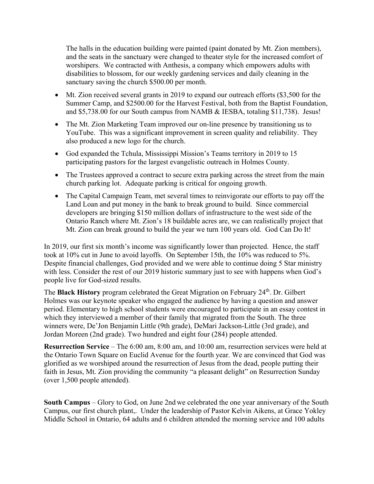The halls in the education building were painted (paint donated by Mt. Zion members), and the seats in the sanctuary were changed to theater style for the increased comfort of worshipers. We contracted with Anthesis, a company which empowers adults with disabilities to blossom, for our weekly gardening services and daily cleaning in the sanctuary saving the church \$500.00 per month.

- Mt. Zion received several grants in 2019 to expand our outreach efforts (\$3,500 for the Summer Camp, and \$2500.00 for the Harvest Festival, both from the Baptist Foundation, and \$5,738.00 for our South campus from NAMB & IESBA, totaling \$11,738). Jesus!
- The Mt. Zion Marketing Team improved our on-line presence by transitioning us to YouTube. This was a significant improvement in screen quality and reliability. They also produced a new logo for the church.
- God expanded the Tchula, Mississippi Mission's Teams territory in 2019 to 15 participating pastors for the largest evangelistic outreach in Holmes County.
- The Trustees approved a contract to secure extra parking across the street from the main church parking lot. Adequate parking is critical for ongoing growth.
- The Capital Campaign Team, met several times to reinvigorate our efforts to pay off the Land Loan and put money in the bank to break ground to build. Since commercial developers are bringing \$150 million dollars of infrastructure to the west side of the Ontario Ranch where Mt. Zion's 18 buildable acres are, we can realistically project that Mt. Zion can break ground to build the year we turn 100 years old. God Can Do It!

In 2019, our first six month's income was significantly lower than projected. Hence, the staff took at 10% cut in June to avoid layoffs. On September 15th, the 10% was reduced to 5%. Despite financial challenges, God provided and we were able to continue doing 5 Star ministry with less. Consider the rest of our 2019 historic summary just to see with happens when God's people live for God-sized results.

The **Black History** program celebrated the Great Migration on February 24<sup>th</sup>. Dr. Gilbert Holmes was our keynote speaker who engaged the audience by having a question and answer period. Elementary to high school students were encouraged to participate in an essay contest in which they interviewed a member of their family that migrated from the South. The three winners were, De'Jon Benjamin Little (9th grade), DeMari Jackson-Little (3rd grade), and Jordan Moreen (2nd grade). Two hundred and eight four (284) people attended.

**Resurrection Service** – The 6:00 am, 8:00 am, and 10:00 am, resurrection services were held at the Ontario Town Square on Euclid Avenue for the fourth year. We are convinced that God was glorified as we worshiped around the resurrection of Jesus from the dead, people putting their faith in Jesus, Mt. Zion providing the community "a pleasant delight" on Resurrection Sunday (over 1,500 people attended).

**South Campus** – Glory to God, on June 2nd we celebrated the one year anniversary of the South Campus, our first church plant,. Under the leadership of Pastor Kelvin Aikens, at Grace Yokley Middle School in Ontario, 64 adults and 6 children attended the morning service and 100 adults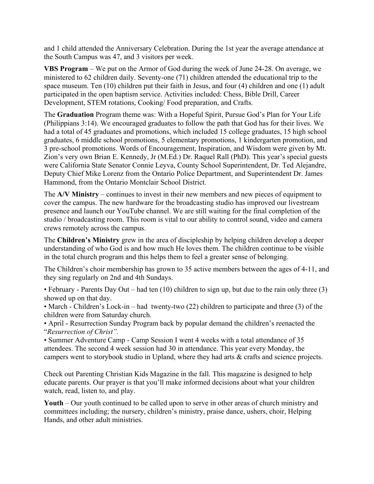and 1 child attended the Anniversary Celebration. During the 1st year the average attendance at the South Campus was 47, and 3 visitors per week.

**VBS Program** – We put on the Armor of God during the week of June 24-28. On average, we ministered to 62 children daily. Seventy-one (71) children attended the educational trip to the space museum. Ten (10) children put their faith in Jesus, and four (4) children and one (1) adult participated in the open baptism service. Activities included: Chess, Bible Drill, Career Development, STEM rotations, Cooking/ Food preparation, and Crafts.

The **Graduation** Program theme was: With a Hopeful Spirit, Pursue God's Plan for Your Life (Philippians 3:14). We encouraged graduates to follow the path that God has for their lives. We had a total of 45 graduates and promotions, which included 15 college graduates, 15 high school graduates, 6 middle school promotions, 5 elementary promotions, 1 kindergarten promotion, and 3 pre-school promotions. Words of Encouragement, Inspiration, and Wisdom were given by Mt. Zion's very own Brian E. Kennedy, Jr (M.Ed.) Dr. Raquel Rall (PhD). This year's special guests were California State Senator Connie Leyva, County School Superintendent, Dr. Ted Alejandre, Deputy Chief Mike Lorenz from the Ontario Police Department, and Superintendent Dr. James Hammond, from the Ontario Montclair School District.

The **A/V Ministry** – continues to invest in their new members and new pieces of equipment to cover the campus. The new hardware for the broadcasting studio has improved our livestream presence and launch our YouTube channel. We are still waiting for the final completion of the studio / broadcasting room. This room is vital to our ability to control sound, video and camera crews remotely across the campus.

The **Children's Ministry** grew in the area of discipleship by helping children develop a deeper understanding of who God is and how much He loves them. The children continue to be visible in the total church program and this helps them to feel a greater sense of belonging.

The Children's choir membership has grown to 35 active members between the ages of 4-11, and they sing regularly on 2nd and 4th Sundays.

• February - Parents Day Out – had ten (10) children to sign up, but due to the rain only three (3) showed up on that day.

• March - Children's Lock-in – had twenty-two (22) children to participate and three (3) of the children were from Saturday church.

• April - Resurrection Sunday Program back by popular demand the children's reenacted the "*Resurrection of Christ".* 

• Summer Adventure Camp - Camp Session I went 4 weeks with a total attendance of 35 attendees. The second 4 week session had 30 in attendance. This year every Monday, the campers went to storybook studio in Upland, where they had arts & crafts and science projects.

Check out Parenting Christian Kids Magazine in the fall. This magazine is designed to help educate parents. Our prayer is that you'll make informed decisions about what your children watch, read, listen to, and play.

**Youth** – Our youth continued to be called upon to serve in other areas of church ministry and committees including; the nursery, children's ministry, praise dance, ushers, choir, Helping Hands, and other adult ministries.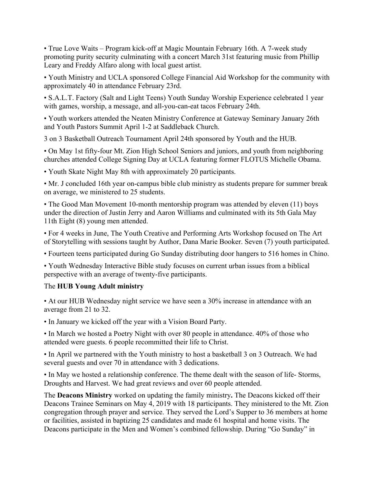• True Love Waits – Program kick-off at Magic Mountain February 16th. A 7-week study promoting purity security culminating with a concert March 31st featuring music from Phillip Leary and Freddy Alfaro along with local guest artist.

• Youth Ministry and UCLA sponsored College Financial Aid Workshop for the community with approximately 40 in attendance February 23rd.

• S.A.L.T. Factory (Salt and Light Teens) Youth Sunday Worship Experience celebrated 1 year with games, worship, a message, and all-you-can-eat tacos February 24th.

• Youth workers attended the Neaten Ministry Conference at Gateway Seminary January 26th and Youth Pastors Summit April 1-2 at Saddleback Church.

3 on 3 Basketball Outreach Tournament April 24th sponsored by Youth and the HUB.

• On May 1st fifty-four Mt. Zion High School Seniors and juniors, and youth from neighboring churches attended College Signing Day at UCLA featuring former FLOTUS Michelle Obama.

• Youth Skate Night May 8th with approximately 20 participants.

• Mr. J concluded 16th year on-campus bible club ministry as students prepare for summer break on average, we ministered to 25 students.

• The Good Man Movement 10-month mentorship program was attended by eleven (11) boys under the direction of Justin Jerry and Aaron Williams and culminated with its 5th Gala May 11th Eight (8) young men attended.

• For 4 weeks in June, The Youth Creative and Performing Arts Workshop focused on The Art of Storytelling with sessions taught by Author, Dana Marie Booker. Seven (7) youth participated.

• Fourteen teens participated during Go Sunday distributing door hangers to 516 homes in Chino.

• Youth Wednesday Interactive Bible study focuses on current urban issues from a biblical perspective with an average of twenty-five participants.

## The **HUB Young Adult ministry**

• At our HUB Wednesday night service we have seen a 30% increase in attendance with an average from 21 to 32.

• In January we kicked off the year with a Vision Board Party.

• In March we hosted a Poetry Night with over 80 people in attendance. 40% of those who attended were guests. 6 people recommitted their life to Christ.

• In April we partnered with the Youth ministry to host a basketball 3 on 3 Outreach. We had several guests and over 70 in attendance with 3 dedications.

• In May we hosted a relationship conference. The theme dealt with the season of life- Storms, Droughts and Harvest. We had great reviews and over 60 people attended.

The **Deacons Ministry** worked on updating the family ministry**.** The Deacons kicked off their Deacons Trainee Seminars on May 4, 2019 with 18 participants. They ministered to the Mt. Zion congregation through prayer and service. They served the Lord's Supper to 36 members at home or facilities, assisted in baptizing 25 candidates and made 61 hospital and home visits. The Deacons participate in the Men and Women's combined fellowship. During "Go Sunday" in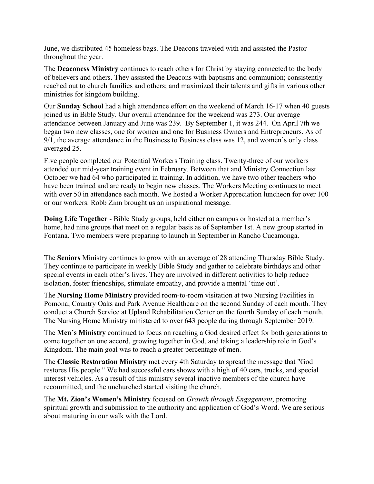June, we distributed 45 homeless bags. The Deacons traveled with and assisted the Pastor throughout the year.

The **Deaconess Ministry** continues to reach others for Christ by staying connected to the body of believers and others. They assisted the Deacons with baptisms and communion; consistently reached out to church families and others; and maximized their talents and gifts in various other ministries for kingdom building.

Our **Sunday School** had a high attendance effort on the weekend of March 16-17 when 40 guests joined us in Bible Study. Our overall attendance for the weekend was 273. Our average attendance between January and June was 239. By September 1, it was 244. On April 7th we began two new classes, one for women and one for Business Owners and Entrepreneurs. As of 9/1, the average attendance in the Business to Business class was 12, and women's only class averaged 25.

Five people completed our Potential Workers Training class. Twenty-three of our workers attended our mid-year training event in February. Between that and Ministry Connection last October we had 64 who participated in training. In addition, we have two other teachers who have been trained and are ready to begin new classes. The Workers Meeting continues to meet with over 50 in attendance each month. We hosted a Worker Appreciation luncheon for over 100 or our workers. Robb Zinn brought us an inspirational message.

**Doing Life Together** - Bible Study groups, held either on campus or hosted at a member's home, had nine groups that meet on a regular basis as of September 1st. A new group started in Fontana. Two members were preparing to launch in September in Rancho Cucamonga.

The **Seniors** Ministry continues to grow with an average of 28 attending Thursday Bible Study. They continue to participate in weekly Bible Study and gather to celebrate birthdays and other special events in each other's lives. They are involved in different activities to help reduce isolation, foster friendships, stimulate empathy, and provide a mental 'time out'.

The **Nursing Home Ministry** provided room-to-room visitation at two Nursing Facilities in Pomona; Country Oaks and Park Avenue Healthcare on the second Sunday of each month. They conduct a Church Service at Upland Rehabilitation Center on the fourth Sunday of each month. The Nursing Home Ministry ministered to over 643 people during through September 2019.

The **Men's Ministry** continued to focus on reaching a God desired effect for both generations to come together on one accord, growing together in God, and taking a leadership role in God's Kingdom. The main goal was to reach a greater percentage of men.

The **Classic Restoration Ministry** met every 4th Saturday to spread the message that "God restores His people." We had successful cars shows with a high of 40 cars, trucks, and special interest vehicles. As a result of this ministry several inactive members of the church have recommitted, and the unchurched started visiting the church.

The **Mt. Zion's Women's Ministry** focused on *Growth through Engagement*, promoting spiritual growth and submission to the authority and application of God's Word. We are serious about maturing in our walk with the Lord.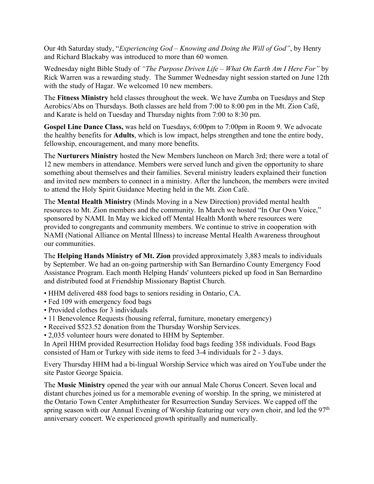Our 4th Saturday study, "*Experiencing God – Knowing and Doing the Will of God"*, by Henry and Richard Blackaby was introduced to more than 60 women.

Wednesday night Bible Study of *"The Purpose Driven Life – What On Earth Am I Here For"* by Rick Warren was a rewarding study. The Summer Wednesday night session started on June 12th with the study of Hagar. We welcomed 10 new members.

The **Fitness Ministry** held classes throughout the week. We have Zumba on Tuesdays and Step Aerobics/Abs on Thursdays. Both classes are held from 7:00 to 8:00 pm in the Mt. Zion Café, and Karate is held on Tuesday and Thursday nights from 7:00 to 8:30 pm.

**Gospel Line Dance Class,** was held on Tuesdays, 6:00pm to 7:00pm in Room 9. We advocate the healthy benefits for **Adults**, which is low impact, helps strengthen and tone the entire body, fellowship, encouragement, and many more benefits.

The **Nurturers Ministry** hosted the New Members luncheon on March 3rd; there were a total of 12 new members in attendance. Members were served lunch and given the opportunity to share something about themselves and their families. Several ministry leaders explained their function and invited new members to connect in a ministry. After the luncheon, the members were invited to attend the Holy Spirit Guidance Meeting held in the Mt. Zion Café.

The **Mental Health Ministry** (Minds Moving in a New Direction) provided mental health resources to Mt. Zion members and the community. In March we hosted "In Our Own Voice," sponsored by NAMI. In May we kicked off Mental Health Month where resources were provided to congregants and community members. We continue to strive in cooperation with NAMI (National Alliance on Mental Illness) to increase Mental Health Awareness throughout our communities.

The **Helping Hands Ministry of Mt. Zion** provided approximately 3,883 meals to individuals by September. We had an on-going partnership with San Bernardino County Emergency Food Assistance Program. Each month Helping Hands' volunteers picked up food in San Bernardino and distributed food at Friendship Missionary Baptist Church.

- HHM delivered 488 food bags to seniors residing in Ontario, CA.
- Fed 109 with emergency food bags
- Provided clothes for 3 individuals
- 11 Benevolence Requests (housing referral, furniture, monetary emergency)
- Received \$523.52 donation from the Thursday Worship Services.
- 2,035 volunteer hours were donated to HHM by September.

In April HHM provided Resurrection Holiday food bags feeding 358 individuals. Food Bags consisted of Ham or Turkey with side items to feed 3-4 individuals for 2 - 3 days.

Every Thursday HHM had a bi-lingual Worship Service which was aired on YouTube under the site Pastor George Spaicia.

The **Music Ministry** opened the year with our annual Male Chorus Concert. Seven local and distant churches joined us for a memorable evening of worship. In the spring, we ministered at the Ontario Town Center Amphitheater for Resurrection Sunday Services. We capped off the spring season with our Annual Evening of Worship featuring our very own choir, and led the  $97<sup>th</sup>$ anniversary concert. We experienced growth spiritually and numerically.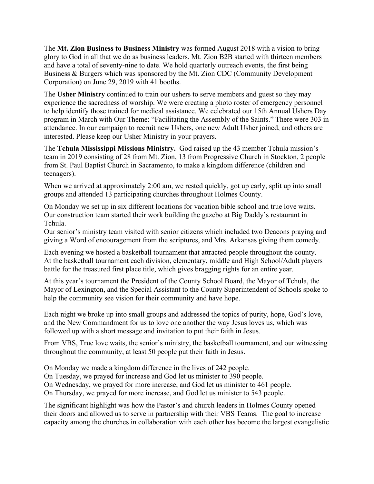The **Mt. Zion Business to Business Ministry** was formed August 2018 with a vision to bring glory to God in all that we do as business leaders. Mt. Zion B2B started with thirteen members and have a total of seventy-nine to date. We hold quarterly outreach events, the first being Business & Burgers which was sponsored by the Mt. Zion CDC (Community Development Corporation) on June 29, 2019 with 41 booths.

The **Usher Ministry** continued to train our ushers to serve members and guest so they may experience the sacredness of worship. We were creating a photo roster of emergency personnel to help identify those trained for medical assistance. We celebrated our 15th Annual Ushers Day program in March with Our Theme: "Facilitating the Assembly of the Saints." There were 303 in attendance. In our campaign to recruit new Ushers, one new Adult Usher joined, and others are interested. Please keep our Usher Ministry in your prayers.

The **Tchula Mississippi Missions Ministry.** God raised up the 43 member Tchula mission's team in 2019 consisting of 28 from Mt. Zion, 13 from Progressive Church in Stockton, 2 people from St. Paul Baptist Church in Sacramento, to make a kingdom difference (children and teenagers).

When we arrived at approximately 2:00 am, we rested quickly, got up early, split up into small groups and attended 13 participating churches throughout Holmes County.

On Monday we set up in six different locations for vacation bible school and true love waits. Our construction team started their work building the gazebo at Big Daddy's restaurant in Tchula.

Our senior's ministry team visited with senior citizens which included two Deacons praying and giving a Word of encouragement from the scriptures, and Mrs. Arkansas giving them comedy.

Each evening we hosted a basketball tournament that attracted people throughout the county. At the basketball tournament each division, elementary, middle and High School/Adult players battle for the treasured first place title, which gives bragging rights for an entire year.

At this year's tournament the President of the County School Board, the Mayor of Tchula, the Mayor of Lexington, and the Special Assistant to the County Superintendent of Schools spoke to help the community see vision for their community and have hope.

Each night we broke up into small groups and addressed the topics of purity, hope, God's love, and the New Commandment for us to love one another the way Jesus loves us, which was followed up with a short message and invitation to put their faith in Jesus.

From VBS, True love waits, the senior's ministry, the basketball tournament, and our witnessing throughout the community, at least 50 people put their faith in Jesus.

On Monday we made a kingdom difference in the lives of 242 people. On Tuesday, we prayed for increase and God let us minister to 390 people. On Wednesday, we prayed for more increase, and God let us minister to 461 people. On Thursday, we prayed for more increase, and God let us minister to 543 people.

The significant highlight was how the Pastor's and church leaders in Holmes County opened their doors and allowed us to serve in partnership with their VBS Teams. The goal to increase capacity among the churches in collaboration with each other has become the largest evangelistic